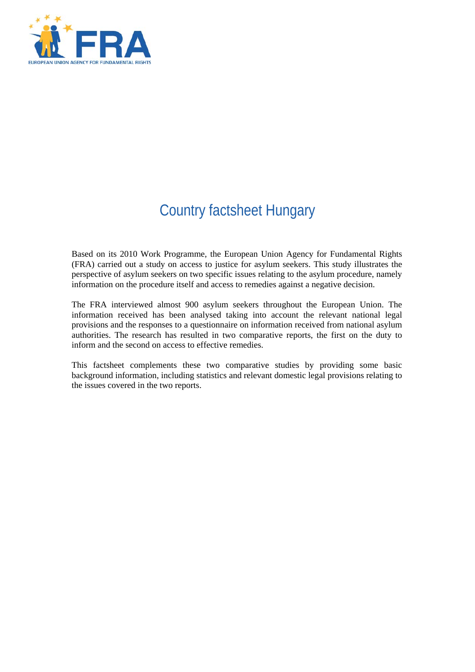

# Country factsheet Hungary

Based on its 2010 Work Programme, the European Union Agency for Fundamental Rights (FRA) carried out a study on access to justice for asylum seekers. This study illustrates the perspective of asylum seekers on two specific issues relating to the asylum procedure, namely information on the procedure itself and access to remedies against a negative decision.

The FRA interviewed almost 900 asylum seekers throughout the European Union. The information received has been analysed taking into account the relevant national legal provisions and the responses to a questionnaire on information received from national asylum authorities. The research has resulted in two comparative reports, the first on the duty to inform and the second on access to effective remedies.

This factsheet complements these two comparative studies by providing some basic background information, including statistics and relevant domestic legal provisions relating to the issues covered in the two reports.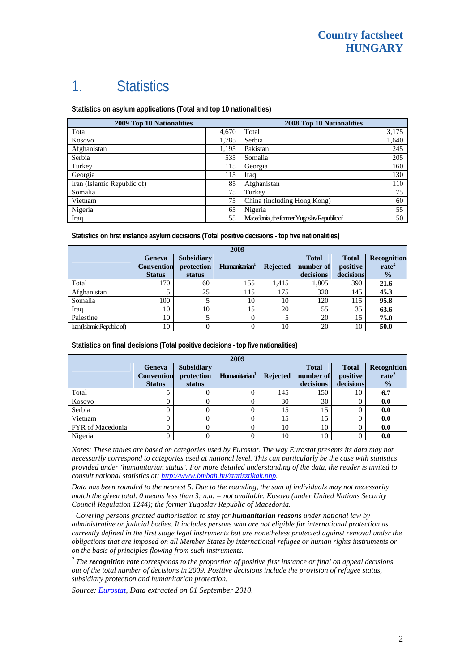# 1. Statistics

**Statistics on asylum applications (Total and top 10 nationalities)**

| 2009 Top 10 Nationalities  | <b>2008 Top 10 Nationalities</b> |                                            |       |
|----------------------------|----------------------------------|--------------------------------------------|-------|
| Total                      | 4,670                            | Total                                      | 3,175 |
| Kosovo                     | 1,785                            | Serbia                                     | 1,640 |
| Afghanistan                | 1,195                            | Pakistan                                   | 245   |
| Serbia                     | 535                              | Somalia                                    | 205   |
| Turkey                     | 115                              | Georgia                                    | 160   |
| Georgia                    | 115                              | Iraq                                       | 130   |
| Iran (Islamic Republic of) | 85                               | Afghanistan                                | 110   |
| Somalia                    | 75                               | Turkey                                     | 75    |
| Vietnam                    | 75                               | China (including Hong Kong)                | 60    |
| Nigeria                    | 65                               | Nigeria                                    | 55    |
| Iraq                       | 55                               | Macedonia, the former Yugoslav Republic of | 50    |

**Statistics on first instance asylum decisions (Total positive decisions - top five nationalities)**

| 2009                       |                                              |                                           |                           |                 |                                        |                                       |                                                   |
|----------------------------|----------------------------------------------|-------------------------------------------|---------------------------|-----------------|----------------------------------------|---------------------------------------|---------------------------------------------------|
|                            | Geneva<br><b>Convention</b><br><b>Status</b> | <b>Subsidiary</b><br>protection<br>status | Humanitarian <sup>1</sup> | <b>Rejected</b> | <b>Total</b><br>number of<br>decisions | <b>Total</b><br>positive<br>decisions | Recognition<br>rate <sup>2</sup><br>$\frac{0}{2}$ |
| Total                      | 170                                          | 60                                        | 155                       | 1.415           | 1,805                                  | 390                                   | 21.6                                              |
| Afghanistan                |                                              | 25                                        | 115                       | 175             | 320                                    | 145                                   | 45.3                                              |
| Somalia                    | 100                                          |                                           | 10                        | 10              | 120                                    | 115                                   | 95.8                                              |
| Iraq                       | 10                                           | 10                                        | 15                        | 20              | 55                                     | 35                                    | 63.6                                              |
| Palestine                  | 10                                           |                                           |                           | J               | 20                                     | 15                                    | 75.0                                              |
| Iran (Islamic Republic of) | 10                                           |                                           |                           | 10              | 20                                     | 10                                    | 50.0                                              |

**Statistics on final decisions (Total positive decisions - top five nationalities)** 

| 2009             |                                                     |                                           |                           |          |                                        |                                       |                                                   |
|------------------|-----------------------------------------------------|-------------------------------------------|---------------------------|----------|----------------------------------------|---------------------------------------|---------------------------------------------------|
|                  | <b>Geneva</b><br><b>Convention</b><br><b>Status</b> | <b>Subsidiary</b><br>protection<br>status | Humanitarian <sup>1</sup> | Rejected | <b>Total</b><br>number of<br>decisions | <b>Total</b><br>positive<br>decisions | Recognition<br>rate <sup>2</sup><br>$\frac{0}{0}$ |
| Total            |                                                     |                                           |                           | 145      | 150                                    | 10                                    | 6.7                                               |
| Kosovo           |                                                     |                                           |                           | 30       | 30                                     |                                       | 0.0                                               |
| Serbia           |                                                     |                                           |                           | 15       | 15                                     |                                       | 0.0                                               |
| Vietnam          |                                                     |                                           |                           | 15       | 15                                     |                                       | 0.0                                               |
| FYR of Macedonia |                                                     |                                           |                           | 10       | 10                                     |                                       | 0.0                                               |
| Nigeria          |                                                     |                                           |                           | 10       | 10                                     |                                       | 0.0                                               |

*Notes: These tables are based on categories used by Eurostat. The way Eurostat presents its data may not necessarily correspond to categories used at national level. This can particularly be the case with statistics provided under 'humanitarian status'. For more detailed understanding of the data, the reader is invited to consult national statistics at:<http://www.bmbah.hu/statisztikak.php>.* 

*Data has been rounded to the nearest 5. Due to the rounding, the sum of individuals may not necessarily match the given total. 0 means less than 3; n.a. = not available. Kosovo (under United Nations Security Council Regulation 1244); the former Yugoslav Republic of Macedonia.* 

<sup>1</sup> Covering persons granted authorisation to stay for **humanitarian reasons** under national law by *administrative or judicial bodies. It includes persons who are not eligible for international protection as currently defined in the first stage legal instruments but are nonetheless protected against removal under the obligations that are imposed on all Member States by international refugee or human rights instruments or on the basis of principles flowing from such instruments.* 

*2 The recognition rate corresponds to the proportion of positive first instance or final on appeal decisions out of the total number of decisions in 2009. Positive decisions include the provision of refugee status, subsidiary protection and humanitarian protection.* 

*Source: [Eurostat,](http://epp.eurostat.ec.europa.eu/) Data extracted on 01 September 2010.*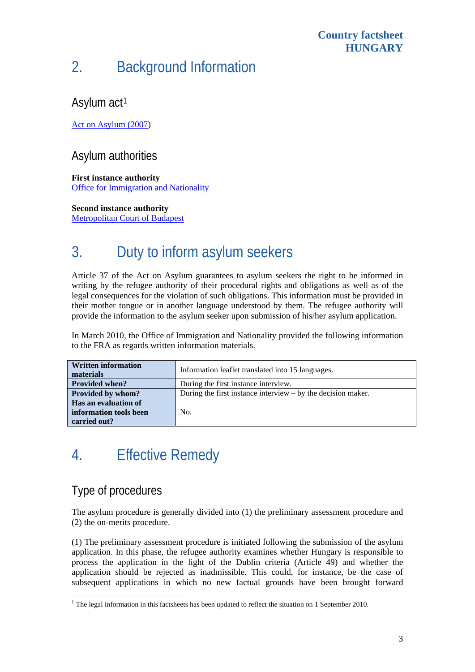#### **Country factsheet HUNGARY**

# 2. Background Information

## Asylum act<sup>[1](#page-2-0)</sup>

[Act on Asylum \(2007\)](http://www.bmbah.hu/jogszabalyok.php?id=51)

### Asylum authorities

**First instance authority**  [Office for Immigration and Nationality](http://www.bmbah.hu/)

**Second instance authority** 

[Metropolitan Court of Budapest](http://www.fovarosi.birosag.hu/angol/index_en.htm)

# 3. Duty to inform asylum seekers

Article 37 of the Act on Asylum guarantees to asylum seekers the right to be informed in writing by the refugee authority of their procedural rights and obligations as well as of the legal consequences for the violation of such obligations. This information must be provided in their mother tongue or in another language understood by them. The refugee authority will provide the information to the asylum seeker upon submission of his/her asylum application.

In March 2010, the Office of Immigration and Nationality provided the following information to the FRA as regards written information materials.

| <b>Written information</b><br>materials | Information leaflet translated into 15 languages.              |  |  |  |
|-----------------------------------------|----------------------------------------------------------------|--|--|--|
| <b>Provided when?</b>                   | During the first instance interview.                           |  |  |  |
| <b>Provided by whom?</b>                | During the first instance interview $-$ by the decision maker. |  |  |  |
| Has an evaluation of                    |                                                                |  |  |  |
| information tools been                  | No.                                                            |  |  |  |
| carried out?                            |                                                                |  |  |  |

# 4. Effective Remedy

## Type of procedures

The asylum procedure is generally divided into (1) the preliminary assessment procedure and (2) the on-merits procedure.

(1) The preliminary assessment procedure is initiated following the submission of the asylum application. In this phase, the refugee authority examines whether Hungary is responsible to process the application in the light of the Dublin criteria (Article 49) and whether the application should be rejected as inadmissible. This could, for instance, be the case of subsequent applications in which no new factual grounds have been brought forward

<span id="page-2-0"></span> 1 The legal information in this factsheets has been updated to reflect the situation on 1 September 2010.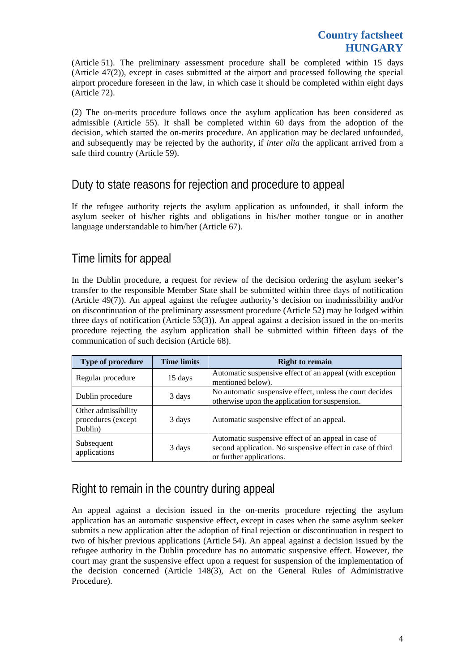(Article 51). The preliminary assessment procedure shall be completed within 15 days (Article 47(2)), except in cases submitted at the airport and processed following the special airport procedure foreseen in the law, in which case it should be completed within eight days (Article 72).

(2) The on-merits procedure follows once the asylum application has been considered as admissible (Article 55). It shall be completed within 60 days from the adoption of the decision, which started the on-merits procedure. An application may be declared unfounded, and subsequently may be rejected by the authority, if *inter alia* the applicant arrived from a safe third country (Article 59).

## Duty to state reasons for rejection and procedure to appeal

If the refugee authority rejects the asylum application as unfounded, it shall inform the asylum seeker of his/her rights and obligations in his/her mother tongue or in another language understandable to him/her (Article 67).

### Time limits for appeal

In the Dublin procedure, a request for review of the decision ordering the asylum seeker's transfer to the responsible Member State shall be submitted within three days of notification (Article 49(7)). An appeal against the refugee authority's decision on inadmissibility and/or on discontinuation of the preliminary assessment procedure (Article 52) may be lodged within three days of notification (Article 53(3)). An appeal against a decision issued in the on-merits procedure rejecting the asylum application shall be submitted within fifteen days of the communication of such decision (Article 68).

| Type of procedure                                    | <b>Time limits</b> | <b>Right to remain</b>                                                                                                                       |
|------------------------------------------------------|--------------------|----------------------------------------------------------------------------------------------------------------------------------------------|
| Regular procedure                                    | 15 days            | Automatic suspensive effect of an appeal (with exception<br>mentioned below).                                                                |
| Dublin procedure                                     | 3 days             | No automatic suspensive effect, unless the court decides<br>otherwise upon the application for suspension.                                   |
| Other admissibility<br>procedures (except<br>Dublin) | 3 days             | Automatic suspensive effect of an appeal.                                                                                                    |
| Subsequent<br>applications                           | 3 days             | Automatic suspensive effect of an appeal in case of<br>second application. No suspensive effect in case of third<br>or further applications. |

## Right to remain in the country during appeal

An appeal against a decision issued in the on-merits procedure rejecting the asylum application has an automatic suspensive effect, except in cases when the same asylum seeker submits a new application after the adoption of final rejection or discontinuation in respect to two of his/her previous applications (Article 54). An appeal against a decision issued by the refugee authority in the Dublin procedure has no automatic suspensive effect. However, the court may grant the suspensive effect upon a request for suspension of the implementation of the decision concerned (Article 148(3), Act on the General Rules of Administrative Procedure).